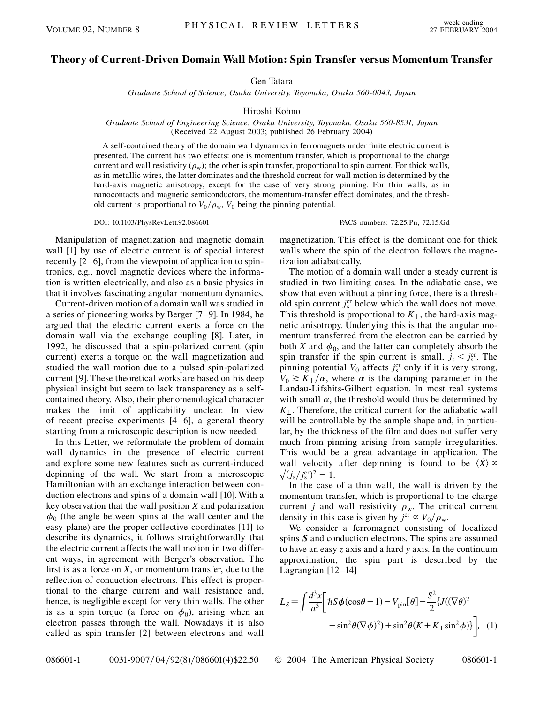## **Theory of Current-Driven Domain Wall Motion: Spin Transfer versus Momentum Transfer**

Gen Tatara

*Graduate School of Science, Osaka University, Toyonaka, Osaka 560-0043, Japan*

Hiroshi Kohno

*Graduate School of Engineering Science, Osaka University, Toyonaka, Osaka 560-8531, Japan* (Received 22 August 2003; published 26 February 2004)

A self-contained theory of the domain wall dynamics in ferromagnets under finite electric current is presented. The current has two effects: one is momentum transfer, which is proportional to the charge current and wall resistivity  $(\rho_w)$ ; the other is spin transfer, proportional to spin current. For thick walls, as in metallic wires, the latter dominates and the threshold current for wall motion is determined by the hard-axis magnetic anisotropy, except for the case of very strong pinning. For thin walls, as in nanocontacts and magnetic semiconductors, the momentum-transfer effect dominates, and the threshold current is proportional to  $V_0/\rho_w$ ,  $V_0$  being the pinning potential.

DOI: 10.1103/PhysRevLett.92.086601 PACS numbers: 72.25.Pn, 72.15.Gd

Manipulation of magnetization and magnetic domain wall [1] by use of electric current is of special interest recently [2–6], from the viewpoint of application to spintronics, e.g., novel magnetic devices where the information is written electrically, and also as a basic physics in that it involves fascinating angular momentum dynamics.

Current-driven motion of a domain wall was studied in a series of pioneering works by Berger [7–9]. In 1984, he argued that the electric current exerts a force on the domain wall via the exchange coupling [8]. Later, in 1992, he discussed that a spin-polarized current (spin current) exerts a torque on the wall magnetization and studied the wall motion due to a pulsed spin-polarized current [9]. These theoretical works are based on his deep physical insight but seem to lack transparency as a selfcontained theory. Also, their phenomenological character makes the limit of applicability unclear. In view of recent precise experiments [4–6], a general theory starting from a microscopic description is now needed.

In this Letter, we reformulate the problem of domain wall dynamics in the presence of electric current and explore some new features such as current-induced depinning of the wall. We start from a microscopic Hamiltonian with an exchange interaction between conduction electrons and spins of a domain wall [10]. With a key observation that the wall position *X* and polarization  $\phi_0$  (the angle between spins at the wall center and the easy plane) are the proper collective coordinates [11] to describe its dynamics, it follows straightforwardly that the electric current affects the wall motion in two different ways, in agreement with Berger's observation. The first is as a force on *X*, or momentum transfer, due to the reflection of conduction electrons. This effect is proportional to the charge current and wall resistance and, hence, is negligible except for very thin walls. The other is as a spin torque (a force on  $\phi_0$ ), arising when an electron passes through the wall. Nowadays it is also called as spin transfer [2] between electrons and wall magnetization. This effect is the dominant one for thick walls where the spin of the electron follows the magnetization adiabatically.

The motion of a domain wall under a steady current is studied in two limiting cases. In the adiabatic case, we show that even without a pinning force, there is a threshold spin current  $j_s^{\text{cr}}$  below which the wall does not move. This threshold is proportional to  $K_{\perp}$ , the hard-axis magnetic anisotropy. Underlying this is that the angular momentum transferred from the electron can be carried by both *X* and  $\phi_0$ , and the latter can completely absorb the spin transfer if the spin current is small,  $j_s < j_s^{\text{cr}}$ . The pinning potential  $V_0$  affects  $j_s^{\text{cr}}$  only if it is very strong,  $V_0 \geq K_{\perp}/\alpha$ , where  $\alpha$  is the damping parameter in the Landau-Lifshits-Gilbert equation. In most real systems with small  $\alpha$ , the threshold would thus be determined by  $K_{\perp}$ . Therefore, the critical current for the adiabatic wall will be controllable by the sample shape and, in particular, by the thickness of the film and does not suffer very much from pinning arising from sample irregularities. This would be a great advantage in application. The wall velocity after depinning is found to be  $\langle X \rangle \propto$  $\sqrt{(j_s/j_s^{\text{cr}})^2 - 1}.$ 

In the case of a thin wall, the wall is driven by the momentum transfer, which is proportional to the charge current *j* and wall resistivity  $\rho_w$ . The critical current density in this case is given by  $j^{cr} \propto V_0 / \rho_w$ .

We consider a ferromagnet consisting of localized spins *S* and conduction electrons. The spins are assumed to have an easy *z* axis and a hard *y* axis. In the continuum approximation, the spin part is described by the Lagrangian [12–14]

$$
L_S = \int \frac{d^3x}{a^3} \left[ \hbar S \dot{\phi} (\cos \theta - 1) - V_{\text{pin}}[\theta] - \frac{S^2}{2} \{ J((\nabla \theta)^2 + \sin^2 \theta (\nabla \phi)^2) + \sin^2 \theta (K + K_{\perp} \sin^2 \phi) \} \right], \quad (1)
$$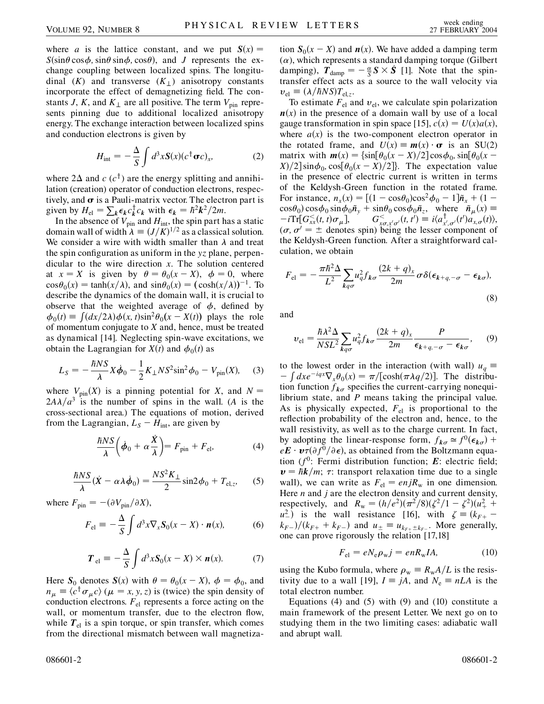where *a* is the lattice constant, and we put  $S(x) =$  $S(\sin\theta \cos\phi, \sin\theta \sin\phi, \cos\theta)$ , and *J* represents the exchange coupling between localized spins. The longitudinal  $(K)$  and transverse  $(K<sub>+</sub>)$  anisotropy constants incorporate the effect of demagnetizing field. The constants *J*, *K*, and  $K_{\perp}$  are all positive. The term  $V_{\text{pin}}$  represents pinning due to additional localized anisotropy energy. The exchange interaction between localized spins and conduction electrons is given by

$$
H_{\rm int} = -\frac{\Delta}{S} \int d^3x \mathbf{S}(x) (c^{\dagger} \mathbf{\sigma} c)_x, \tag{2}
$$

where  $2\Delta$  and *c* (*c*<sup>†</sup>) are the energy splitting and annihilation (creation) operator of conduction electrons, respectively, and  $\sigma$  is a Pauli-matrix vector. The electron part is given by  $H_{el} = \sum_{k} \epsilon_{k} c_{k}^{\dagger} c_{k}$  with  $\epsilon_{k} = \hbar^{2} k^{2}/2m$ .

In the absence of  $V_{\text{pin}}$  and  $H_{\text{int}}$ , the spin part has a static domain wall of width  $\lambda = (J/K)^{1/2}$  as a classical solution. We consider a wire with width smaller than  $\lambda$  and treat the spin configuration as uniform in the *yz* plane, perpendicular to the wire direction *x*. The solution centered at  $x = X$  is given by  $\theta = \theta_0(x - X)$ ,  $\phi = 0$ , where  $\cos\theta_0(x) = \tanh(x/\lambda)$ , and  $\sin\theta_0(x) = (\cosh(x/\lambda))^{-1}$ . To describe the dynamics of the domain wall, it is crucial to observe that the weighted average of  $\phi$ , defined by  $\phi_0(t) = \int (dx/2\lambda) \phi(x, t) \sin^2 \theta_0(x - X(t))$  plays the role of momentum conjugate to *X* and, hence, must be treated as dynamical [14]. Neglecting spin-wave excitations, we obtain the Lagrangian for  $X(t)$  and  $\phi_0(t)$  as

$$
L_{S} = -\frac{\hbar NS}{\lambda} X \dot{\phi}_{0} - \frac{1}{2} K_{\perp} N S^{2} \sin^{2} \phi_{0} - V_{\text{pin}}(X), \quad (3)
$$

where  $V_{\text{pin}}(X)$  is a pinning potential for *X*, and  $N =$  $2A\lambda/a^3$  is the number of spins in the wall. (*A* is the cross-sectional area.) The equations of motion, derived from the Lagrangian,  $L_S - H_{int}$ , are given by

$$
\frac{\hbar NS}{\lambda} \left( \dot{\phi}_0 + \alpha \frac{\dot{X}}{\lambda} \right) = F_{\text{pin}} + F_{\text{el}},\tag{4}
$$

$$
\frac{\hbar NS}{\lambda}(\dot{X} - \alpha \lambda \dot{\phi}_0) = \frac{NS^2 K_{\perp}}{2} \sin 2\phi_0 + T_{\text{el},z}, \quad (5)
$$

where  $F_{\text{pin}} = -(\partial V_{\text{pin}}/\partial X)$ ,

$$
F_{\rm el} \equiv -\frac{\Delta}{S} \int d^3x \nabla_x \mathbf{S}_0(x - X) \cdot \mathbf{n}(x), \tag{6}
$$

$$
\boldsymbol{T}_{\text{el}} \equiv -\frac{\Delta}{S} \int d^3 x \boldsymbol{S}_0(x - X) \times \boldsymbol{n}(x). \tag{7}
$$

Here  $S_0$  denotes  $S(x)$  with  $\theta = \theta_0(x - X)$ ,  $\phi = \phi_0$ , and  $n_{\mu} \equiv \langle c^{\dagger} \sigma_{\mu} c \rangle$  ( $\mu = x, y, z$ ) is (twice) the spin density of conduction electrons.  $F_{el}$  represents a force acting on the wall, or momentum transfer, due to the electron flow, while  $T_{el}$  is a spin torque, or spin transfer, which comes from the directional mismatch between wall magnetization  $S_0(x - X)$  and  $n(x)$ . We have added a damping term  $(\alpha)$ , which represents a standard damping torque (Gilbert damping),  $\mathbf{T}_{\text{damp}} = -\frac{\alpha}{S} \mathbf{S} \times \mathbf{S}$  [1]. Note that the spintransfer effect acts as a source to the wall velocity via  $v_{el} \equiv (\lambda / \hbar NS) T_{el,z}.$ 

To estimate  $F_{el}$  and  $v_{el}$ , we calculate spin polarization  $n(x)$  in the presence of a domain wall by use of a local gauge transformation in spin space [15],  $c(x) = U(x)a(x)$ , where  $a(x)$  is the two-component electron operator in the rotated frame, and  $U(x) \equiv m(x) \cdot \sigma$  is an SU(2) matrix with *mx*fsin 0*x X=*2 cos0*;*sin 0*x*  $X$ /2  $\sin \phi_0$ ,  $\cos[\theta_0(x - X)/2]$ . The expectation value in the presence of electric current is written in terms of the Keldysh-Green function in the rotated frame. For instance,  $n_x(x) = [(1 - \cos\theta_0)\cos^2\phi_0 - 1]\tilde{n}_x + (1 \cos\theta_0 \cos\phi_0 \sin\phi_0 \tilde{n}_v + \sin\theta_0 \cos\phi_0 \tilde{n}_z$ , where  $\tilde{n}_\mu(x) =$  $-i\text{Tr}\left[G_{xx}^{<}(t,t)\sigma_{\mu}\right]$  $G_{x\sigma,x'\sigma'}^{<}(t,t') \equiv i\langle a_{x',\sigma'}^{\dagger}(t')a_{x,\sigma}(t)\rangle,$  $(\sigma, \sigma' = \pm$  denotes spin) being the lesser component of the Keldysh-Green function. After a straightforward calculation, we obtain

$$
F_{\rm el} = -\frac{\pi \hbar^2 \Delta}{L^2} \sum_{kq\sigma} u_q^2 f_{k\sigma} \frac{(2k+q)_x}{2m} \sigma \delta(\epsilon_{k+q,-\sigma} - \epsilon_{k\sigma}),\tag{8}
$$

and

$$
v_{\rm el} = \frac{\hbar \lambda^2 \Delta}{NSL^2} \sum_{kq\sigma} u_q^2 f_{k\sigma} \frac{(2k+q)_x}{2m} \frac{P}{\epsilon_{k+q,-\sigma} - \epsilon_{k\sigma}},\qquad(9)
$$

to the lowest order in the interaction (with wall)  $u_q \equiv$  $\int dx e^{-iqx} \nabla_x \theta_0(x) = \pi/[\cosh(\pi \lambda q/2)]$ . The distribution function  $f_{k\sigma}$  specifies the current-carrying nonequilibrium state, and *P* means taking the principal value. As is physically expected, *F*el is proportional to the reflection probability of the electron and, hence, to the wall resistivity, as well as to the charge current. In fact, by adopting the linear-response form,  $f_{k\sigma} \approx f^{0}(\epsilon_{k\sigma})$  +  $eE \cdot \nu \tau (\partial f^0 / \partial \epsilon)$ , as obtained from the Boltzmann equation (*f*0: Fermi distribution function; *E*: electric field;  $v = \hbar k/m$ ;  $\tau$ : transport relaxation time due to a single wall), we can write as  $F_{el} = enjR_w$  in one dimension. Here *n* and *j* are the electron density and current density, respectively, and  $R_w = (h/e^2)(\pi^2/8)(\zeta^2/1 - \zeta^2)(u_+^2 + \zeta^2)$  $u^2$ ) is the wall resistance [16], with  $\zeta = (k_{F+} - 1)$  $(k_{F-})/(k_{F+} + k_{F-})$  and  $u_{\pm} \equiv u_{k_{F+} \pm k_{F-}}$ . More generally, one can prove rigorously the relation [17,18]

$$
F_{\rm el} = eN_{\rm e}\rho_{\rm w}j = enR_{\rm w}IA,\tag{10}
$$

using the Kubo formula, where  $\rho_w = R_w A/L$  is the resistivity due to a wall [19],  $I = jA$ , and  $N_e = nLA$  is the total electron number.

Equations  $(4)$  and  $(5)$  with  $(9)$  and  $(10)$  constitute a main framework of the present Letter. We next go on to studying them in the two limiting cases: adiabatic wall and abrupt wall.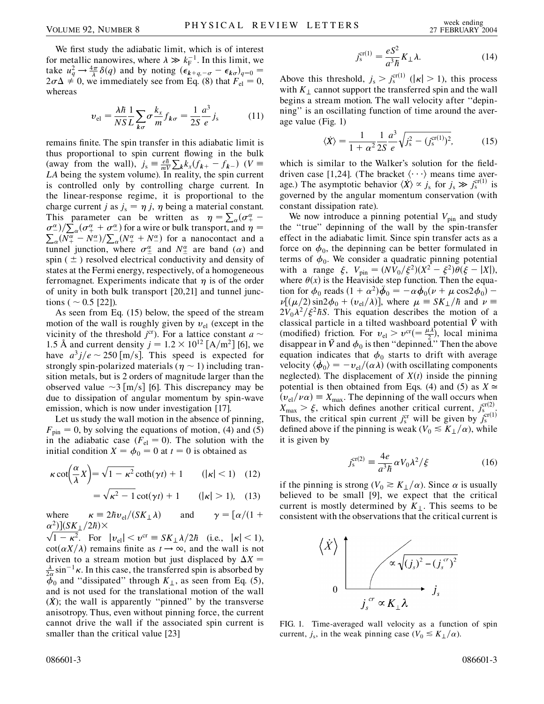We first study the adiabatic limit, which is of interest for metallic nanowires, where  $\lambda \gg k_{\rm F}^{-1}$ . In this limit, we take  $u_q^2 \rightarrow \frac{4\pi}{\lambda} \delta(q)$  and by noting  $(\epsilon_{k+q,-\sigma} - \epsilon_{k\sigma})_{q=0}$  $2\sigma\Delta \neq 0$ , we immediately see from Eq. (8) that  $F_{el} = 0$ , whereas

$$
v_{\rm el} = \frac{\lambda \hbar}{NS} \frac{1}{L} \sum_{k\sigma} \sigma \frac{k_x}{m} f_{k\sigma} = \frac{1}{2S} \frac{a^3}{e} j_s \tag{11}
$$

remains finite. The spin transfer in this adiabatic limit is thus proportional to spin current flowing in the bulk (away from the wall),  $j_s \equiv \frac{e\hbar}{mV}$  $\sum_{k} k_{x} (f_{k+} - f_{k-})$  (*V* = *LA* being the system volume). In reality, the spin current is controlled only by controlling charge current. In the linear-response regime, it is proportional to the charge current *j* as  $j_s = \eta j$ ,  $\eta$  being a material constant. This parameter can be written as  $\eta = \sum_{\alpha} (\sigma^{\alpha}_{+} \sigma_{\alpha}^{\alpha}/\sum_{\alpha}^{\alpha}(\sigma_{+}^{\alpha} + \sigma_{-}^{\alpha})$  for a wire or bulk transport, and  $\eta = \sum_{\alpha}^{\alpha}(\sigma_{+}^{\alpha} + \sigma_{-}^{\alpha})$  for a wire or bulk transport, and  $\eta =$  $\frac{N}{\alpha}(N_+^{\alpha} - N_-^{\alpha})/\sum_{\alpha}(N_+^{\alpha} + N_-^{\alpha})$  for a nanocontact and a tunnel junction, where  $\sigma^{\alpha}_{\pm}$  and  $N^{\alpha}_{\pm}$  are band ( $\alpha$ ) and spin ( $\pm$ ) resolved electrical conductivity and density of states at the Fermi energy, respectively, of a homogeneous ferromagnet. Experiments indicate that  $\eta$  is of the order of unity in both bulk transport [20,21] and tunnel junctions ( $\sim 0.5$  [22]).

As seen from Eq. (15) below, the speed of the stream motion of the wall is roughly given by  $v_{el}$  (except in the vicinity of the threshold  $j^{cr}$ ). For a lattice constant  $a \sim$ 1.5 Å and current density  $j = 1.2 \times 10^{12}$  [A/m<sup>2</sup>] [6], we have  $a^3 j/e \sim 250 \text{ [m/s]}$ . This speed is expected for strongly spin-polarized materials ( $\eta \sim 1$ ) including transition metals, but is 2 orders of magnitude larger than the observed value  $\sim$ 3 [m/s] [6]. This discrepancy may be due to dissipation of angular momentum by spin-wave emission, which is now under investigation [17].

Let us study the wall motion in the absence of pinning,  $F_{\text{pin}} = 0$ , by solving the equations of motion, (4) and (5) in the adiabatic case  $(F_{el} = 0)$ . The solution with the initial condition  $X = \phi_0 = 0$  at  $t = 0$  is obtained as

$$
\kappa \cot\left(\frac{\alpha}{\lambda}X\right) = \sqrt{1 - \kappa^2} \coth(\gamma t) + 1 \qquad (|\kappa| < 1) \quad (12)
$$
\n
$$
= \sqrt{\kappa^2 - 1} \cot(\gamma t) + 1 \qquad (|\kappa| > 1), \quad (13)
$$

where  $\kappa = 2\hbar v_{\rm el}/(SK_{\perp}\lambda)$  and  $\gamma = [\alpha/(1 +$  $\frac{\alpha^2}{\sqrt{1-\frac{2}{n}}}$   $\left(\frac{SK_{\perp}}{2}/2\hbar\right)$   $\times$ 

 $\sqrt{1 - \kappa^2}$ . For  $|v_{el}| < v^{cr} \equiv SK_\perp \lambda / 2\hbar$  (i.e.,  $|\kappa| < 1$ ),  $\cot(\alpha X/\lambda)$  remains finite as  $t \to \infty$ , and the wall is not driven to a stream motion but just displaced by  $\Delta X =$  $\frac{\lambda}{2\alpha}$  sin<sup>-1</sup> $\kappa$ . In this case, the transferred spin is absorbed by  $\phi_0$  and "dissipated" through  $K_{\perp}$ , as seen from Eq. (5), and is not used for the translational motion of the wall  $(\dot{X})$ ; the wall is apparently "pinned" by the transverse anisotropy. Thus, even without pinning force, the current cannot drive the wall if the associated spin current is smaller than the critical value [23]

$$
j_s^{\text{cr}(1)} = \frac{eS^2}{a^3\hbar} K_\perp \lambda. \tag{14}
$$

Above this threshold,  $j_s > j_s^{\text{cr}(1)}$  ( $|\kappa| > 1$ ), this process with  $K_{\perp}$  cannot support the transferred spin and the wall begins a stream motion. The wall velocity after ''depinning'' is an oscillating function of time around the average value (Fig. 1)

$$
\langle \dot{X} \rangle = \frac{1}{1 + \alpha^2} \frac{1}{2S} \frac{a^3}{e} \sqrt{j_s^2 - (j_s^{\text{cr}(1)})^2},\tag{15}
$$

which is similar to the Walker's solution for the fielddriven case [1,24]. (The bracket  $\langle \cdots \rangle$  means time average.) The asymptotic behavior  $\langle \dot{x} \rangle \propto j_s$  for  $j_s \gg j_s^{\text{cr(1)}}$  is governed by the angular momentum conservation (with constant dissipation rate).

We now introduce a pinning potential  $V_{\text{pin}}$  and study the ''true'' depinning of the wall by the spin-transfer effect in the adiabatic limit. Since spin transfer acts as a force on  $\phi_0$ , the depinning can be better formulated in terms of  $\phi_0$ . We consider a quadratic pinning potential with a range  $\xi$ ,  $V_{\text{pin}} = (N\dot{V}_0/\xi^2)(X^2 - \xi^2)\dot{\theta}(\xi - |X|),$ where  $\theta(x)$  is the Heaviside step function. Then the equation for  $\dot{\phi}_0$  reads  $(1 + \alpha^2)\ddot{\phi}_0 = -\alpha \dot{\phi}_0(\nu + \mu \cos 2\phi_0)$  –  $\nu\left[(\mu/2)\sin 2\phi_0 + (\nu_{el}/\lambda)\right]$ , where  $\mu \equiv SK_\perp/\hbar$  and  $\nu \equiv$  $2V_0\lambda^2/\xi^2\hbar S$ . This equation describes the motion of a classical particle in a tilted washboard potential  $\tilde{V}$  with (modified) friction. For  $v_{el} > v^{cr} = \frac{\mu \lambda}{2}$ , local minima disappear in *V* and  $\phi_0$  is then "depinned." Then the above equation indicates that  $\phi_0$  starts to drift with average velocity  $\langle \dot{\phi}_0 \rangle = -v_{el}/(\alpha \lambda)$  (with oscillating components neglected). The displacement of  $X(t)$  inside the pinning potential is then obtained from Eqs. (4) and (5) as  $X \approx$  $(v_{el}/v_{\alpha}) \equiv X_{\text{max}}$ . The depinning of the wall occurs when  $X_{\text{max}} > \xi$ , which defines another critical current,  $j_s^{\text{cr(2)}}$ Thus, the critical spin current  $j_s^{\text{cr}}$  will be given by  $j_s^{\text{cr}}(1)$ defined above if the pinning is weak ( $V_0 \leq K_{\perp}/\alpha$ ), while it is given by

$$
j_s^{\text{cr}(2)} \equiv \frac{4e}{a^3\hbar} \alpha V_0 \lambda^2 / \xi \tag{16}
$$

if the pinning is strong ( $V_0 \ge K_1/\alpha$ ). Since  $\alpha$  is usually believed to be small [9], we expect that the critical current is mostly determined by  $K_{\perp}$ . This seems to be consistent with the observations that the critical current is



FIG. 1. Time-averaged wall velocity as a function of spin current,  $j_s$ , in the weak pinning case ( $V_0 \leq K_{\perp}/\alpha$ ).